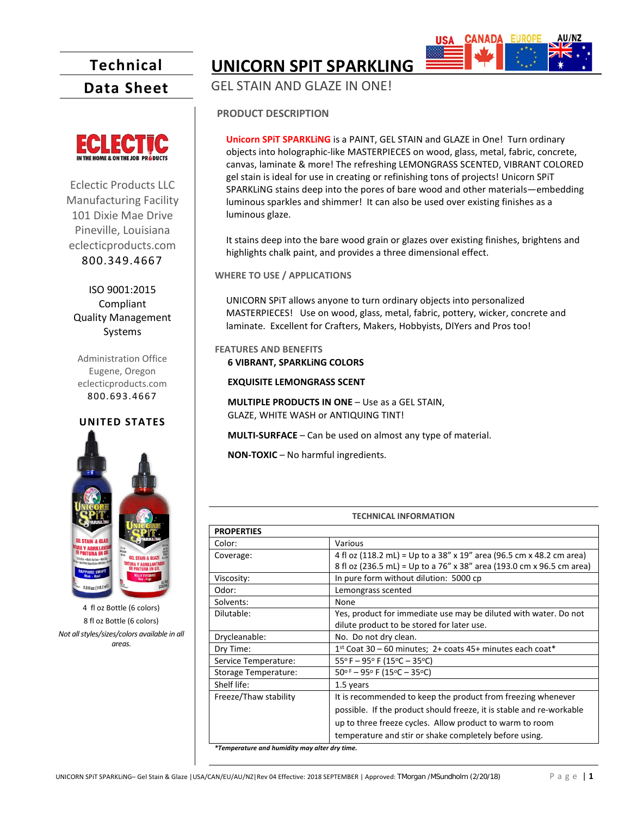# **Technical**

**Data Sheet**



Eclectic Products LLC Manufacturing Facility 101 Dixie Mae Drive Pineville, Louisiana eclecticproducts.com 800.349.4667

ISO 9001:2015 Compliant Quality Management Systems

Administration Office Eugene, Oregon eclecticproducts.com 800.693.4667

## **UNITED STATES**



4 fl oz Bottle (6 colors) 8 fl oz Bottle (6 colors) *Not all styles/sizes/colors available in all areas.* 

**UNICORN SPIT SPARKLING**

GEL STAIN AND GLAZE IN ONE!

### **PRODUCT DESCRIPTION**

**Unicorn SPiT SPARKLiNG** is a PAINT, GEL STAIN and GLAZE in One! Turn ordinary objects into holographic-like MASTERPIECES on wood, glass, metal, fabric, concrete, canvas, laminate & more! The refreshing LEMONGRASS SCENTED, VIBRANT COLORED gel stain is ideal for use in creating or refinishing tons of projects! Unicorn SPiT SPARKLiNG stains deep into the pores of bare wood and other materials—embedding luminous sparkles and shimmer! It can also be used over existing finishes as a luminous glaze.

It stains deep into the bare wood grain or glazes over existing finishes, brightens and highlights chalk paint, and provides a three dimensional effect.

**WHERE TO USE / APPLICATIONS**

UNICORN SPiT allows anyone to turn ordinary objects into personalized MASTERPIECES! Use on wood, glass, metal, fabric, pottery, wicker, concrete and laminate. Excellent for Crafters, Makers, Hobbyists, DIYers and Pros too!

**FEATURES AND BENEFITS 6 VIBRANT, SPARKLiNG COLORS**

**EXQUISITE LEMONGRASS SCENT**

**MULTIPLE PRODUCTS IN ONE** – Use as a GEL STAIN, GLAZE, WHITE WASH or ANTIQUING TINT!

**MULTI-SURFACE** – Can be used on almost any type of material.

**NON-TOXIC** – No harmful ingredients.

| <b>TECHNICAL INFORMATION</b>                  |                                                                       |
|-----------------------------------------------|-----------------------------------------------------------------------|
| <b>PROPERTIES</b>                             |                                                                       |
| Color:                                        | Various                                                               |
| Coverage:                                     | 4 fl oz (118.2 mL) = Up to a 38" x 19" area (96.5 cm x 48.2 cm area)  |
|                                               | 8 fl oz (236.5 mL) = Up to a 76" x 38" area (193.0 cm x 96.5 cm area) |
| Viscosity:                                    | In pure form without dilution: 5000 cp                                |
| Odor:                                         | Lemongrass scented                                                    |
| Solvents:                                     | None                                                                  |
| Dilutable:                                    | Yes, product for immediate use may be diluted with water. Do not      |
|                                               | dilute product to be stored for later use.                            |
| Drycleanable:                                 | No. Do not dry clean.                                                 |
| Dry Time:                                     | $1st$ Coat 30 – 60 minutes; 2+ coats 45+ minutes each coat*           |
| Service Temperature:                          | $55^{\circ}$ F – 95° F (15°C – 35°C)                                  |
| Storage Temperature:                          | 50°F - 95°F (15°C - 35°C)                                             |
| Shelf life:                                   | 1.5 years                                                             |
| Freeze/Thaw stability                         | It is recommended to keep the product from freezing whenever          |
|                                               | possible. If the product should freeze, it is stable and re-workable  |
|                                               | up to three freeze cycles. Allow product to warm to room              |
|                                               | temperature and stir or shake completely before using.                |
| *Temperature and humidity may alter dry time. |                                                                       |

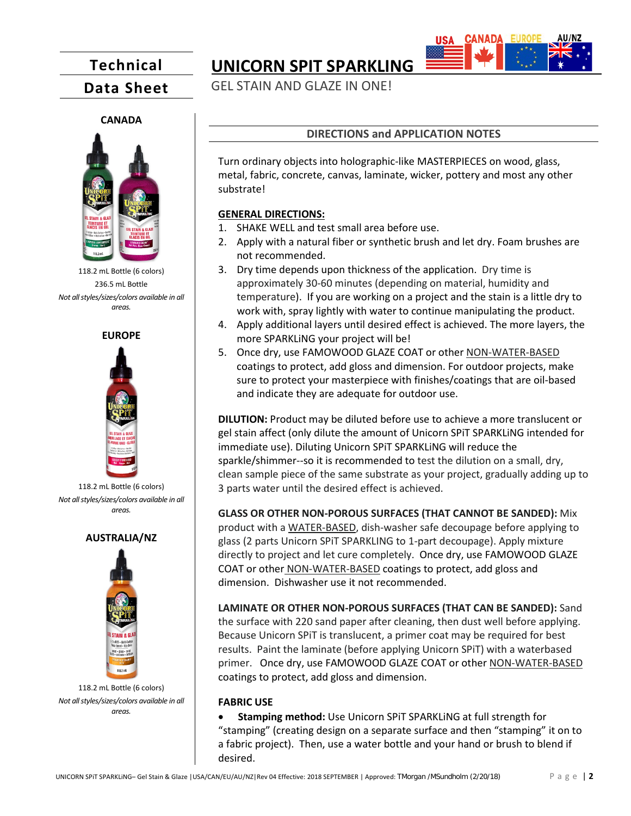## **Technical**

**Data Sheet**

### **CANADA**



118.2 mL Bottle (6 colors) 236.5 mL Bottle *Not all styles/sizes/colors available in all areas.*

#### **EUROPE**



118.2 mL Bottle (6 colors) *Not all styles/sizes/colors available in all areas.*

#### **AUSTRALIA/NZ**



118.2 mL Bottle (6 colors) *Not all styles/sizes/colors available in all areas.*

## **UNICORN SPIT SPARKLING**

GEL STAIN AND GLAZE IN ONE!



Turn ordinary objects into holographic-like MASTERPIECES on wood, glass, metal, fabric, concrete, canvas, laminate, wicker, pottery and most any other substrate!

#### **GENERAL DIRECTIONS:**

- 1. SHAKE WELL and test small area before use.
- 2. Apply with a natural fiber or synthetic brush and let dry. Foam brushes are not recommended.
- 3. Dry time depends upon thickness of the application. Dry time is approximately 30-60 minutes (depending on material, humidity and temperature). If you are working on a project and the stain is a little dry to work with, spray lightly with water to continue manipulating the product.
- 4. Apply additional layers until desired effect is achieved. The more layers, the more SPARKLiNG your project will be!
- 5. Once dry, use FAMOWOOD GLAZE COAT or other NON-WATER-BASED coatings to protect, add gloss and dimension. For outdoor projects, make sure to protect your masterpiece with finishes/coatings that are oil-based and indicate they are adequate for outdoor use.

**DILUTION:** Product may be diluted before use to achieve a more translucent or gel stain affect (only dilute the amount of Unicorn SPiT SPARKLiNG intended for immediate use). Diluting Unicorn SPiT SPARKLiNG will reduce the sparkle/shimmer--so it is recommended to test the dilution on a small, dry, clean sample piece of the same substrate as your project, gradually adding up to 3 parts water until the desired effect is achieved.

**GLASS OR OTHER NON-POROUS SURFACES (THAT CANNOT BE SANDED):** Mix product with a WATER-BASED, dish-washer safe decoupage before applying to glass (2 parts Unicorn SPiT SPARKLING to 1-part decoupage). Apply mixture directly to project and let cure completely. Once dry, use FAMOWOOD GLAZE COAT or other NON-WATER-BASED coatings to protect, add gloss and dimension. Dishwasher use it not recommended.

**LAMINATE OR OTHER NON-POROUS SURFACES (THAT CAN BE SANDED):** Sand the surface with 220 sand paper after cleaning, then dust well before applying. Because Unicorn SPiT is translucent, a primer coat may be required for best results. Paint the laminate (before applying Unicorn SPiT) with a waterbased primer. Once dry, use FAMOWOOD GLAZE COAT or other NON-WATER-BASED coatings to protect, add gloss and dimension.

### **FABRIC USE**

• **Stamping method:** Use Unicorn SPiT SPARKLiNG at full strength for "stamping" (creating design on a separate surface and then "stamping" it on to a fabric project). Then, use a water bottle and your hand or brush to blend if desired.